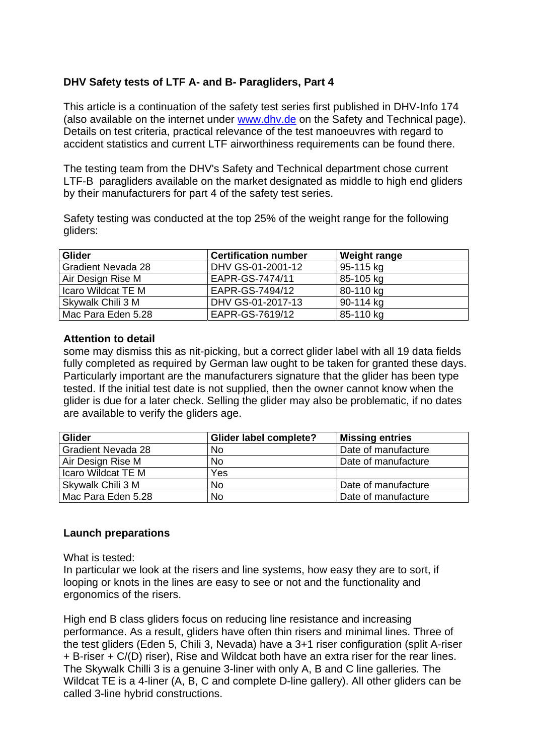# **DHV Safety tests of LTF A- and B- Paragliders, Part 4**

This article is a continuation of the safety test series first published in DHV-Info 174 (also available on the internet under www.dhv.de on the Safety and Technical page). Details on test criteria, practical relevance of the test manoeuvres with regard to accident statistics and current LTF airworthiness requirements can be found there.

The testing team from the DHV's Safety and Technical department chose current LTF-B paragliders available on the market designated as middle to high end gliders by their manufacturers for part 4 of the safety test series.

Safety testing was conducted at the top 25% of the weight range for the following gliders:

| <b>Glider</b>             | <b>Certification number</b> | <b>Weight range</b> |
|---------------------------|-----------------------------|---------------------|
| <b>Gradient Nevada 28</b> | DHV GS-01-2001-12           | 95-115 kg           |
| Air Design Rise M         | EAPR-GS-7474/11             | 85-105 kg           |
| Icaro Wildcat TE M        | EAPR-GS-7494/12             | 80-110 kg           |
| Skywalk Chili 3 M         | DHV GS-01-2017-13           | 90-114 kg           |
| Mac Para Eden 5.28        | EAPR-GS-7619/12             | 85-110 kg           |

### **Attention to detail**

some may dismiss this as nit-picking, but a correct glider label with all 19 data fields fully completed as required by German law ought to be taken for granted these days. Particularly important are the manufacturers signature that the glider has been type tested. If the initial test date is not supplied, then the owner cannot know when the glider is due for a later check. Selling the glider may also be problematic, if no dates are available to verify the gliders age.

| <b>Glider</b>             | <b>Glider label complete?</b> | <b>Missing entries</b> |
|---------------------------|-------------------------------|------------------------|
| <b>Gradient Nevada 28</b> | <b>No</b>                     | Date of manufacture    |
| Air Design Rise M         | N <sub>o</sub>                | Date of manufacture    |
| Icaro Wildcat TE M        | Yes                           |                        |
| Skywalk Chili 3 M         | <b>No</b>                     | Date of manufacture    |
| Mac Para Eden 5.28        | <b>No</b>                     | Date of manufacture    |

### **Launch preparations**

What is tested:

In particular we look at the risers and line systems, how easy they are to sort, if looping or knots in the lines are easy to see or not and the functionality and ergonomics of the risers.

High end B class gliders focus on reducing line resistance and increasing performance. As a result, gliders have often thin risers and minimal lines. Three of the test gliders (Eden 5, Chili 3, Nevada) have a 3+1 riser configuration (split A-riser + B-riser + C/(D) riser), Rise and Wildcat both have an extra riser for the rear lines. The Skywalk Chilli 3 is a genuine 3-liner with only A, B and C line galleries. The Wildcat TE is a 4-liner (A, B, C and complete D-line gallery). All other gliders can be called 3-line hybrid constructions.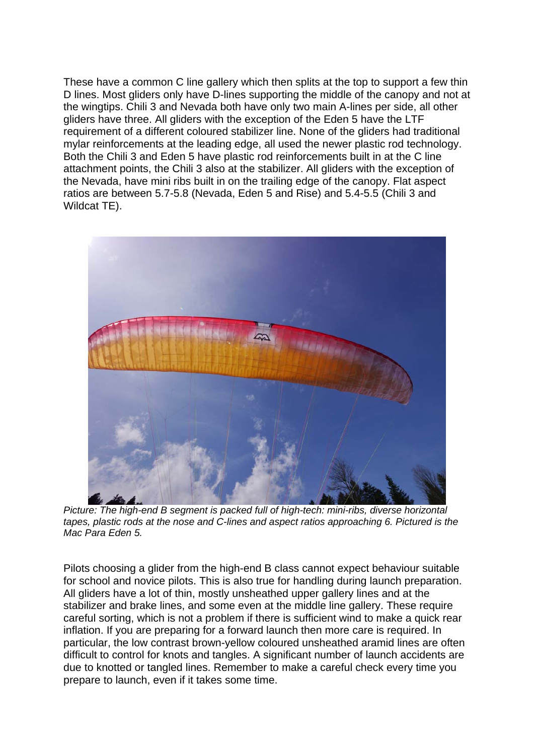These have a common C line gallery which then splits at the top to support a few thin D lines. Most gliders only have D-lines supporting the middle of the canopy and not at the wingtips. Chili 3 and Nevada both have only two main A-lines per side, all other gliders have three. All gliders with the exception of the Eden 5 have the LTF requirement of a different coloured stabilizer line. None of the gliders had traditional mylar reinforcements at the leading edge, all used the newer plastic rod technology. Both the Chili 3 and Eden 5 have plastic rod reinforcements built in at the C line attachment points, the Chili 3 also at the stabilizer. All gliders with the exception of the Nevada, have mini ribs built in on the trailing edge of the canopy. Flat aspect ratios are between 5.7-5.8 (Nevada, Eden 5 and Rise) and 5.4-5.5 (Chili 3 and Wildcat TE).



*Picture: The high-end B segment is packed full of high-tech: mini-ribs, diverse horizontal tapes, plastic rods at the nose and C-lines and aspect ratios approaching 6. Pictured is the Mac Para Eden 5.* 

Pilots choosing a glider from the high-end B class cannot expect behaviour suitable for school and novice pilots. This is also true for handling during launch preparation. All gliders have a lot of thin, mostly unsheathed upper gallery lines and at the stabilizer and brake lines, and some even at the middle line gallery. These require careful sorting, which is not a problem if there is sufficient wind to make a quick rear inflation. If you are preparing for a forward launch then more care is required. In particular, the low contrast brown-yellow coloured unsheathed aramid lines are often difficult to control for knots and tangles. A significant number of launch accidents are due to knotted or tangled lines. Remember to make a careful check every time you prepare to launch, even if it takes some time.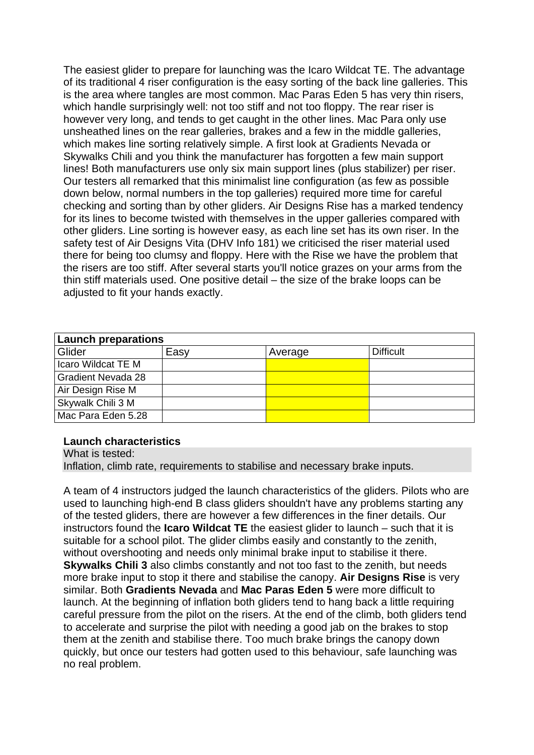The easiest glider to prepare for launching was the Icaro Wildcat TE. The advantage of its traditional 4 riser configuration is the easy sorting of the back line galleries. This is the area where tangles are most common. Mac Paras Eden 5 has very thin risers, which handle surprisingly well: not too stiff and not too floppy. The rear riser is however very long, and tends to get caught in the other lines. Mac Para only use unsheathed lines on the rear galleries, brakes and a few in the middle galleries, which makes line sorting relatively simple. A first look at Gradients Nevada or Skywalks Chili and you think the manufacturer has forgotten a few main support lines! Both manufacturers use only six main support lines (plus stabilizer) per riser. Our testers all remarked that this minimalist line configuration (as few as possible down below, normal numbers in the top galleries) required more time for careful checking and sorting than by other gliders. Air Designs Rise has a marked tendency for its lines to become twisted with themselves in the upper galleries compared with other gliders. Line sorting is however easy, as each line set has its own riser. In the safety test of Air Designs Vita (DHV Info 181) we criticised the riser material used there for being too clumsy and floppy. Here with the Rise we have the problem that the risers are too stiff. After several starts you'll notice grazes on your arms from the thin stiff materials used. One positive detail – the size of the brake loops can be adjusted to fit your hands exactly.

| <b>Launch preparations</b> |      |         |                  |  |  |  |  |  |  |
|----------------------------|------|---------|------------------|--|--|--|--|--|--|
| Glider                     | Easy | Average | <b>Difficult</b> |  |  |  |  |  |  |
| Icaro Wildcat TE M         |      |         |                  |  |  |  |  |  |  |
| <b>Gradient Nevada 28</b>  |      |         |                  |  |  |  |  |  |  |
| Air Design Rise M          |      |         |                  |  |  |  |  |  |  |
| Skywalk Chili 3 M          |      |         |                  |  |  |  |  |  |  |
| Mac Para Eden 5.28         |      |         |                  |  |  |  |  |  |  |

#### **Launch characteristics**

What is tested: Inflation, climb rate, requirements to stabilise and necessary brake inputs.

A team of 4 instructors judged the launch characteristics of the gliders. Pilots who are used to launching high-end B class gliders shouldn't have any problems starting any of the tested gliders, there are however a few differences in the finer details. Our instructors found the **Icaro Wildcat TE** the easiest glider to launch – such that it is suitable for a school pilot. The glider climbs easily and constantly to the zenith, without overshooting and needs only minimal brake input to stabilise it there. **Skywalks Chili 3** also climbs constantly and not too fast to the zenith, but needs more brake input to stop it there and stabilise the canopy. **Air Designs Rise** is very similar. Both **Gradients Nevada** and **Mac Paras Eden 5** were more difficult to launch. At the beginning of inflation both gliders tend to hang back a little requiring careful pressure from the pilot on the risers. At the end of the climb, both gliders tend to accelerate and surprise the pilot with needing a good jab on the brakes to stop them at the zenith and stabilise there. Too much brake brings the canopy down quickly, but once our testers had gotten used to this behaviour, safe launching was no real problem.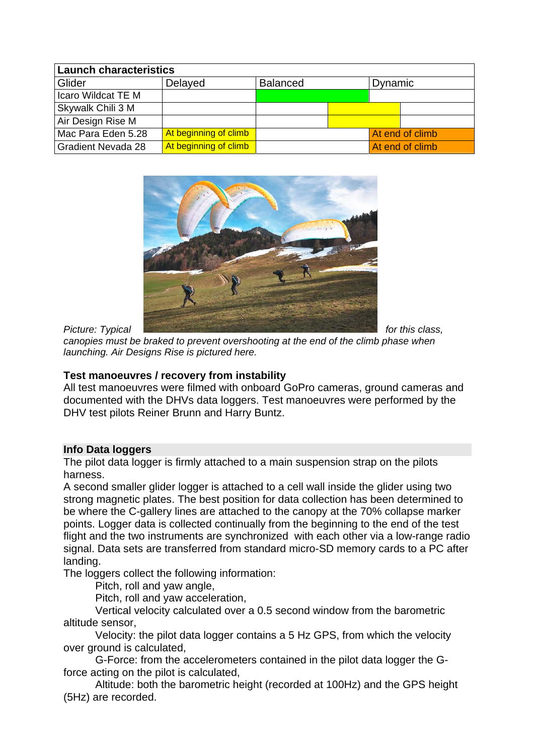| <b>Launch characteristics</b> |                       |                 |  |         |                 |  |  |  |  |  |
|-------------------------------|-----------------------|-----------------|--|---------|-----------------|--|--|--|--|--|
| Glider                        | Delayed               | <b>Balanced</b> |  | Dynamic |                 |  |  |  |  |  |
| Icaro Wildcat TE M            |                       |                 |  |         |                 |  |  |  |  |  |
| Skywalk Chili 3 M             |                       |                 |  |         |                 |  |  |  |  |  |
| Air Design Rise M             |                       |                 |  |         |                 |  |  |  |  |  |
| Mac Para Eden 5.28            | At beginning of climb |                 |  |         | At end of climb |  |  |  |  |  |
| <b>Gradient Nevada 28</b>     | At beginning of climb |                 |  |         | At end of climb |  |  |  |  |  |



*canopies must be braked to prevent overshooting at the end of the climb phase when launching. Air Designs Rise is pictured here.* 

## **Test manoeuvres / recovery from instability**

All test manoeuvres were filmed with onboard GoPro cameras, ground cameras and documented with the DHVs data loggers. Test manoeuvres were performed by the DHV test pilots Reiner Brunn and Harry Buntz.

### **Info Data loggers**

The pilot data logger is firmly attached to a main suspension strap on the pilots harness.

A second smaller glider logger is attached to a cell wall inside the glider using two strong magnetic plates. The best position for data collection has been determined to be where the C-gallery lines are attached to the canopy at the 70% collapse marker points. Logger data is collected continually from the beginning to the end of the test flight and the two instruments are synchronized with each other via a low-range radio signal. Data sets are transferred from standard micro-SD memory cards to a PC after landing.

The loggers collect the following information:

Pitch, roll and yaw angle,

Pitch, roll and yaw acceleration,

 Vertical velocity calculated over a 0.5 second window from the barometric altitude sensor,

 Velocity: the pilot data logger contains a 5 Hz GPS, from which the velocity over ground is calculated,

 G-Force: from the accelerometers contained in the pilot data logger the Gforce acting on the pilot is calculated,

 Altitude: both the barometric height (recorded at 100Hz) and the GPS height (5Hz) are recorded.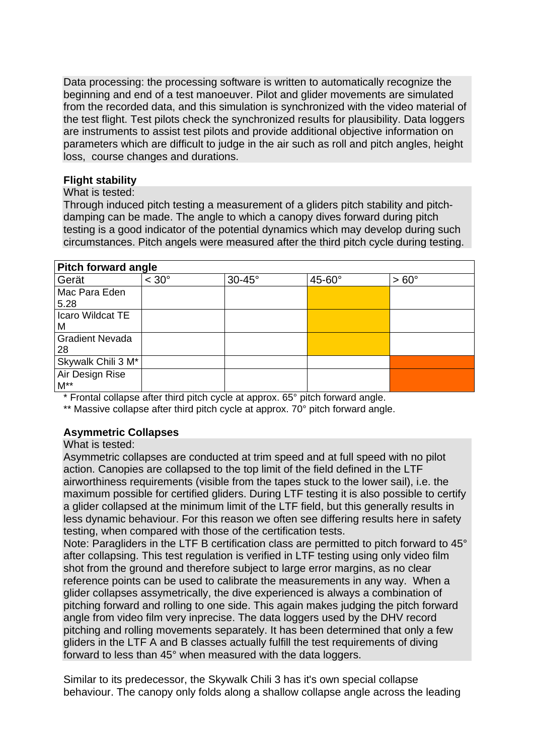Data processing: the processing software is written to automatically recognize the beginning and end of a test manoeuver. Pilot and glider movements are simulated from the recorded data, and this simulation is synchronized with the video material of the test flight. Test pilots check the synchronized results for plausibility. Data loggers are instruments to assist test pilots and provide additional objective information on parameters which are difficult to judge in the air such as roll and pitch angles, height loss, course changes and durations.

### **Flight stability**

#### What is tested:

Through induced pitch testing a measurement of a gliders pitch stability and pitchdamping can be made. The angle to which a canopy dives forward during pitch testing is a good indicator of the potential dynamics which may develop during such circumstances. Pitch angels were measured after the third pitch cycle during testing.

### **Pitch forward angle**

| . <sub></sub>          |                |               |               |              |
|------------------------|----------------|---------------|---------------|--------------|
| Gerät                  | $< 30^{\circ}$ | $30-45^\circ$ | $45-60^\circ$ | $> 60^\circ$ |
| Mac Para Eden          |                |               |               |              |
| 5.28                   |                |               |               |              |
| Icaro Wildcat TE       |                |               |               |              |
| M                      |                |               |               |              |
| <b>Gradient Nevada</b> |                |               |               |              |
| 28                     |                |               |               |              |
| Skywalk Chili 3 M*     |                |               |               |              |
| Air Design Rise        |                |               |               |              |
| $M^{\star\star}$       |                |               |               |              |

\* Frontal collapse after third pitch cycle at approx. 65° pitch forward angle.

\*\* Massive collapse after third pitch cycle at approx. 70° pitch forward angle.

# **Asymmetric Collapses**

#### What is tested:

Asymmetric collapses are conducted at trim speed and at full speed with no pilot action. Canopies are collapsed to the top limit of the field defined in the LTF airworthiness requirements (visible from the tapes stuck to the lower sail), i.e. the maximum possible for certified gliders. During LTF testing it is also possible to certify a glider collapsed at the minimum limit of the LTF field, but this generally results in less dynamic behaviour. For this reason we often see differing results here in safety testing, when compared with those of the certification tests.

Note: Paragliders in the LTF B certification class are permitted to pitch forward to 45° after collapsing. This test regulation is verified in LTF testing using only video film shot from the ground and therefore subject to large error margins, as no clear reference points can be used to calibrate the measurements in any way. When a glider collapses assymetrically, the dive experienced is always a combination of pitching forward and rolling to one side. This again makes judging the pitch forward angle from video film very inprecise. The data loggers used by the DHV record pitching and rolling movements separately. It has been determined that only a few gliders in the LTF A and B classes actually fulfill the test requirements of diving forward to less than 45° when measured with the data loggers.

Similar to its predecessor, the Skywalk Chili 3 has it's own special collapse behaviour. The canopy only folds along a shallow collapse angle across the leading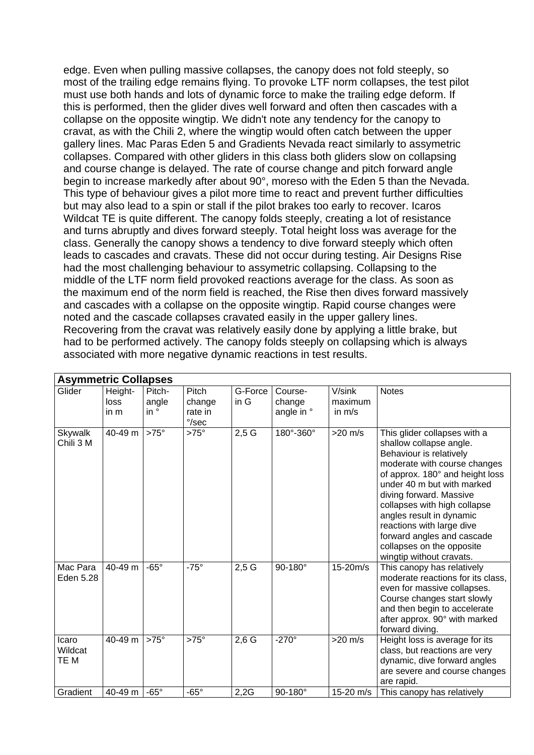edge. Even when pulling massive collapses, the canopy does not fold steeply, so most of the trailing edge remains flying. To provoke LTF norm collapses, the test pilot must use both hands and lots of dynamic force to make the trailing edge deform. If this is performed, then the glider dives well forward and often then cascades with a collapse on the opposite wingtip. We didn't note any tendency for the canopy to cravat, as with the Chili 2, where the wingtip would often catch between the upper gallery lines. Mac Paras Eden 5 and Gradients Nevada react similarly to assymetric collapses. Compared with other gliders in this class both gliders slow on collapsing and course change is delayed. The rate of course change and pitch forward angle begin to increase markedly after about 90°, moreso with the Eden 5 than the Nevada. This type of behaviour gives a pilot more time to react and prevent further difficulties but may also lead to a spin or stall if the pilot brakes too early to recover. Icaros Wildcat TE is quite different. The canopy folds steeply, creating a lot of resistance and turns abruptly and dives forward steeply. Total height loss was average for the class. Generally the canopy shows a tendency to dive forward steeply which often leads to cascades and cravats. These did not occur during testing. Air Designs Rise had the most challenging behaviour to assymetric collapsing. Collapsing to the middle of the LTF norm field provoked reactions average for the class. As soon as the maximum end of the norm field is reached, the Rise then dives forward massively and cascades with a collapse on the opposite wingtip. Rapid course changes were noted and the cascade collapses cravated easily in the upper gallery lines. Recovering from the cravat was relatively easily done by applying a little brake, but had to be performed actively. The canopy folds steeply on collapsing which is always associated with more negative dynamic reactions in test results.

|                             | <b>Asymmetric Collapses</b> |                                 |                                              |                 |                                 |                               |                                                                                                                                                                                                                                                                                                                                                                                                |  |  |  |  |
|-----------------------------|-----------------------------|---------------------------------|----------------------------------------------|-----------------|---------------------------------|-------------------------------|------------------------------------------------------------------------------------------------------------------------------------------------------------------------------------------------------------------------------------------------------------------------------------------------------------------------------------------------------------------------------------------------|--|--|--|--|
| Glider                      | Height-<br>loss<br>in m     | Pitch-<br>angle<br>$in^{\circ}$ | Pitch<br>change<br>rate in<br>$\degree$ /sec | G-Force<br>in G | Course-<br>change<br>angle in ° | V/sink<br>maximum<br>in $m/s$ | <b>Notes</b>                                                                                                                                                                                                                                                                                                                                                                                   |  |  |  |  |
| <b>Skywalk</b><br>Chili 3 M | 40-49 m                     | $>75^\circ$                     | $>75^\circ$                                  | 2,5G            | 180°-360°                       | $>20$ m/s                     | This glider collapses with a<br>shallow collapse angle.<br>Behaviour is relatively<br>moderate with course changes<br>of approx. 180° and height loss<br>under 40 m but with marked<br>diving forward. Massive<br>collapses with high collapse<br>angles result in dynamic<br>reactions with large dive<br>forward angles and cascade<br>collapses on the opposite<br>wingtip without cravats. |  |  |  |  |
| Mac Para<br>Eden 5.28       | 40-49 m                     | $-65^\circ$                     | $-75^\circ$                                  | 2,5G            | 90-180°                         | 15-20m/s                      | This canopy has relatively<br>moderate reactions for its class,<br>even for massive collapses.<br>Course changes start slowly<br>and then begin to accelerate<br>after approx. 90° with marked<br>forward diving.                                                                                                                                                                              |  |  |  |  |
| Icaro<br>Wildcat<br>TE M    | 40-49 m                     | $>75^\circ$                     | $>75^\circ$                                  | $2,6$ G         | $-270^\circ$                    | $>20$ m/s                     | Height loss is average for its<br>class, but reactions are very<br>dynamic, dive forward angles<br>are severe and course changes<br>are rapid.                                                                                                                                                                                                                                                 |  |  |  |  |
| Gradient                    | 40-49 m                     | $-65^\circ$                     | $-65^\circ$                                  | 2,2G            | 90-180°                         | 15-20 m/s                     | This canopy has relatively                                                                                                                                                                                                                                                                                                                                                                     |  |  |  |  |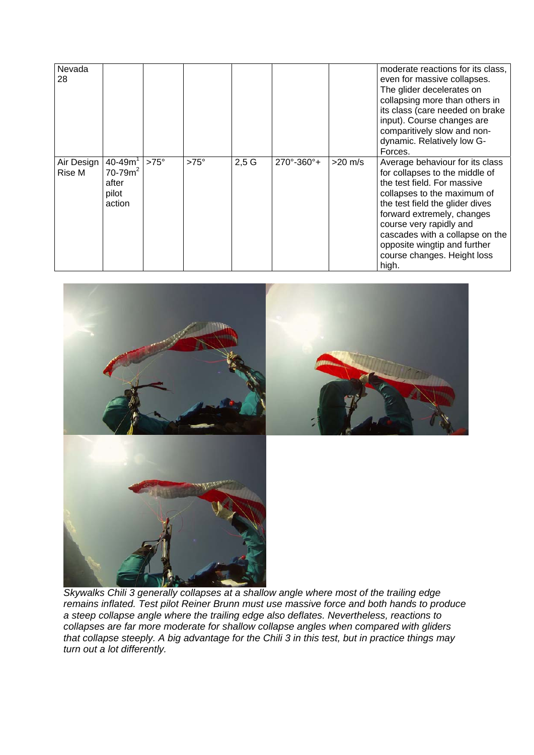| Nevada<br>28         |                                                         |             |             |         |                               |           | moderate reactions for its class,<br>even for massive collapses.<br>The glider decelerates on<br>collapsing more than others in<br>its class (care needed on brake<br>input). Course changes are<br>comparitively slow and non-<br>dynamic. Relatively low G-<br>Forces.                                                               |
|----------------------|---------------------------------------------------------|-------------|-------------|---------|-------------------------------|-----------|----------------------------------------------------------------------------------------------------------------------------------------------------------------------------------------------------------------------------------------------------------------------------------------------------------------------------------------|
| Air Design<br>Rise M | $40 - 49m1$<br>$70 - 79m^2$<br>after<br>pilot<br>action | $>75^\circ$ | $>75^\circ$ | $2,5$ G | $270^{\circ} - 360^{\circ} +$ | $>20$ m/s | Average behaviour for its class<br>for collapses to the middle of<br>the test field. For massive<br>collapses to the maximum of<br>the test field the glider dives<br>forward extremely, changes<br>course very rapidly and<br>cascades with a collapse on the<br>opposite wingtip and further<br>course changes. Height loss<br>high. |



*Skywalks Chili 3 generally collapses at a shallow angle where most of the trailing edge remains inflated. Test pilot Reiner Brunn must use massive force and both hands to produce a steep collapse angle where the trailing edge also deflates. Nevertheless, reactions to collapses are far more moderate for shallow collapse angles when compared with gliders that collapse steeply. A big advantage for the Chili 3 in this test, but in practice things may turn out a lot differently.*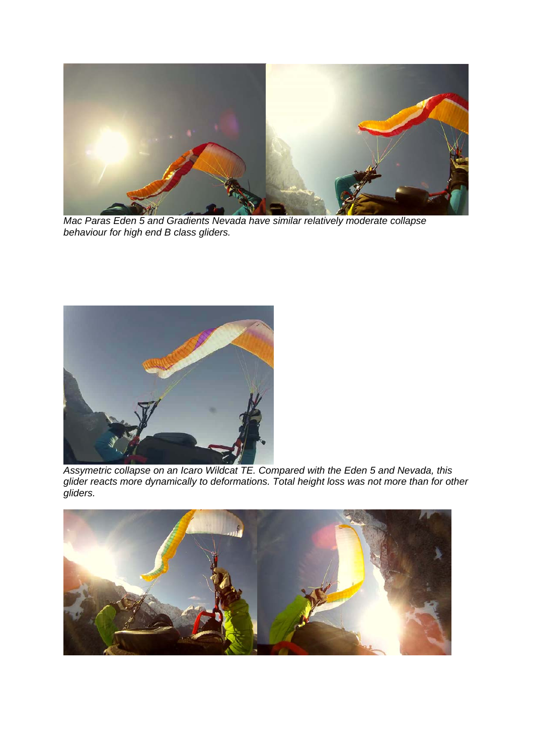

*Mac Paras Eden 5 and Gradients Nevada have similar relatively moderate collapse behaviour for high end B class gliders.* 



*Assymetric collapse on an Icaro Wildcat TE. Compared with the Eden 5 and Nevada, this glider reacts more dynamically to deformations. Total height loss was not more than for other gliders.*

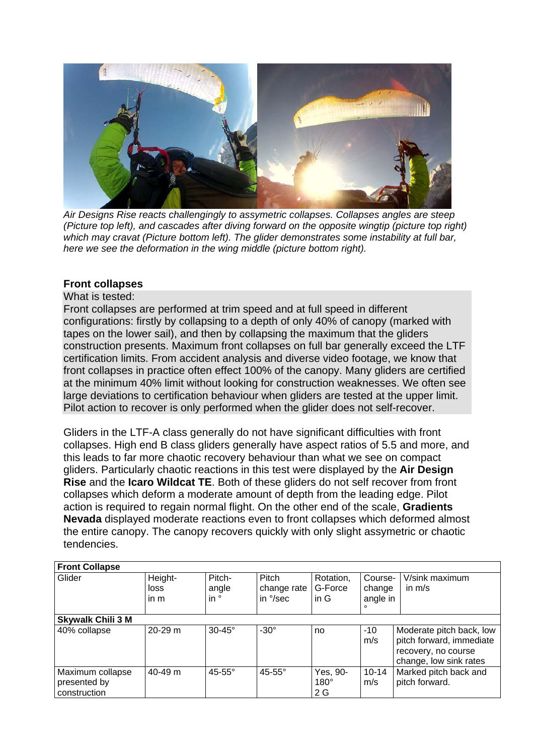

*Air Designs Rise reacts challengingly to assymetric collapses. Collapses angles are steep (Picture top left), and cascades after diving forward on the opposite wingtip (picture top right) which may cravat (Picture bottom left). The glider demonstrates some instability at full bar, here we see the deformation in the wing middle (picture bottom right).*

### **Front collapses**

### What is tested:

Front collapses are performed at trim speed and at full speed in different configurations: firstly by collapsing to a depth of only 40% of canopy (marked with tapes on the lower sail), and then by collapsing the maximum that the gliders construction presents. Maximum front collapses on full bar generally exceed the LTF certification limits. From accident analysis and diverse video footage, we know that front collapses in practice often effect 100% of the canopy. Many gliders are certified at the minimum 40% limit without looking for construction weaknesses. We often see large deviations to certification behaviour when gliders are tested at the upper limit. Pilot action to recover is only performed when the glider does not self-recover.

Gliders in the LTF-A class generally do not have significant difficulties with front collapses. High end B class gliders generally have aspect ratios of 5.5 and more, and this leads to far more chaotic recovery behaviour than what we see on compact gliders. Particularly chaotic reactions in this test were displayed by the **Air Design Rise** and the **Icaro Wildcat TE**. Both of these gliders do not self recover from front collapses which deform a moderate amount of depth from the leading edge. Pilot action is required to regain normal flight. On the other end of the scale, **Gradients Nevada** displayed moderate reactions even to front collapses which deformed almost the entire canopy. The canopy recovers quickly with only slight assymetric or chaotic tendencies.

| <b>Front Collapse</b>                            |                         |                                  |                                  |                                |                                          |                                                                                                       |
|--------------------------------------------------|-------------------------|----------------------------------|----------------------------------|--------------------------------|------------------------------------------|-------------------------------------------------------------------------------------------------------|
| Glider                                           | Height-<br>loss<br>in m | Pitch-<br>angle<br>in $^{\circ}$ | Pitch<br>change rate<br>in °/sec | Rotation,<br>G-Force<br>in $G$ | Course-<br>change<br>angle in<br>$\circ$ | V/sink maximum<br>in $m/s$                                                                            |
| <b>Skywalk Chili 3 M</b>                         |                         |                                  |                                  |                                |                                          |                                                                                                       |
| 40% collapse                                     | 20-29 m                 | $30-45^\circ$                    | $-30^\circ$                      | no                             | $-10$<br>m/s                             | Moderate pitch back, low<br>pitch forward, immediate<br>recovery, no course<br>change, low sink rates |
| Maximum collapse<br>presented by<br>construction | $40 - 49$ m             | $45-55^\circ$                    | $45-55^\circ$                    | Yes, 90-<br>$180^\circ$<br>2 G | $10 - 14$<br>m/s                         | Marked pitch back and<br>pitch forward.                                                               |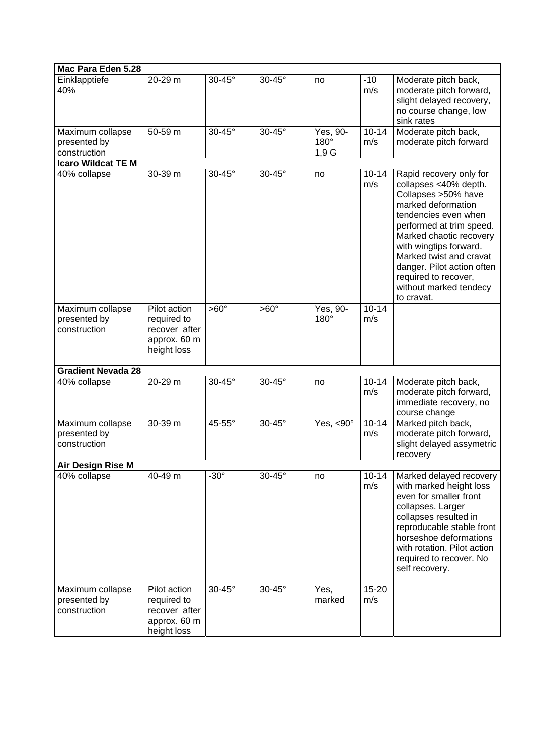| Mac Para Eden 5.28                               |                                                                             |               |               |                          |                  |                                                                                                                                                                                                                                                                                                                                 |
|--------------------------------------------------|-----------------------------------------------------------------------------|---------------|---------------|--------------------------|------------------|---------------------------------------------------------------------------------------------------------------------------------------------------------------------------------------------------------------------------------------------------------------------------------------------------------------------------------|
| Einklapptiefe<br>40%                             | 20-29 m                                                                     | $30-45^\circ$ | $30-45^\circ$ | no                       | $-10$<br>m/s     | Moderate pitch back,<br>moderate pitch forward,<br>slight delayed recovery,<br>no course change, low<br>sink rates                                                                                                                                                                                                              |
| Maximum collapse<br>presented by<br>construction | 50-59 m                                                                     | $30-45^\circ$ | 30-45°        | Yes, 90-<br>180°<br>1,9G | $10 - 14$<br>m/s | Moderate pitch back,<br>moderate pitch forward                                                                                                                                                                                                                                                                                  |
| <b>Icaro Wildcat TE M</b>                        |                                                                             |               |               |                          |                  |                                                                                                                                                                                                                                                                                                                                 |
| 40% collapse                                     | 30-39 m                                                                     | $30-45^\circ$ | 30-45°        | no                       | $10 - 14$<br>m/s | Rapid recovery only for<br>collapses <40% depth.<br>Collapses >50% have<br>marked deformation<br>tendencies even when<br>performed at trim speed.<br>Marked chaotic recovery<br>with wingtips forward.<br>Marked twist and cravat<br>danger. Pilot action often<br>required to recover,<br>without marked tendecy<br>to cravat. |
| Maximum collapse<br>presented by<br>construction | Pilot action<br>required to<br>recover after<br>approx. 60 m<br>height loss | $>60^\circ$   | $>60^\circ$   | Yes, 90-<br>$180^\circ$  | $10 - 14$<br>m/s |                                                                                                                                                                                                                                                                                                                                 |
| <b>Gradient Nevada 28</b>                        |                                                                             |               |               |                          |                  |                                                                                                                                                                                                                                                                                                                                 |
| 40% collapse                                     | 20-29 m                                                                     | $30-45^\circ$ | $30-45^\circ$ | no                       | $10 - 14$<br>m/s | Moderate pitch back,<br>moderate pitch forward,<br>immediate recovery, no<br>course change                                                                                                                                                                                                                                      |
| Maximum collapse<br>presented by<br>construction | 30-39 m                                                                     | 45-55°        | 30-45°        | Yes, $< 90^\circ$        | $10 - 14$<br>m/s | Marked pitch back,<br>moderate pitch forward,<br>slight delayed assymetric<br>recovery                                                                                                                                                                                                                                          |
| Air Design Rise M                                |                                                                             |               |               |                          |                  |                                                                                                                                                                                                                                                                                                                                 |
| 40% collapse                                     | 40-49 m                                                                     | $-30^\circ$   | 30-45°        | no                       | $10 - 14$<br>m/s | Marked delayed recovery<br>with marked height loss<br>even for smaller front<br>collapses. Larger<br>collapses resulted in<br>reproducable stable front<br>horseshoe deformations<br>with rotation. Pilot action<br>required to recover. No<br>self recovery.                                                                   |
| Maximum collapse<br>presented by<br>construction | Pilot action<br>required to<br>recover after<br>approx. 60 m<br>height loss | $30-45^\circ$ | $30-45^\circ$ | Yes,<br>marked           | 15-20<br>m/s     |                                                                                                                                                                                                                                                                                                                                 |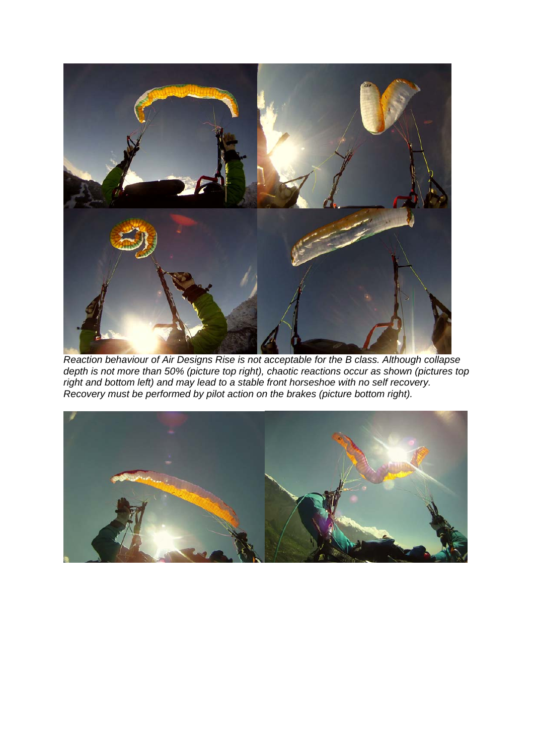

*Reaction behaviour of Air Designs Rise is not acceptable for the B class. Although collapse depth is not more than 50% (picture top right), chaotic reactions occur as shown (pictures top right and bottom left) and may lead to a stable front horseshoe with no self recovery. Recovery must be performed by pilot action on the brakes (picture bottom right).* 

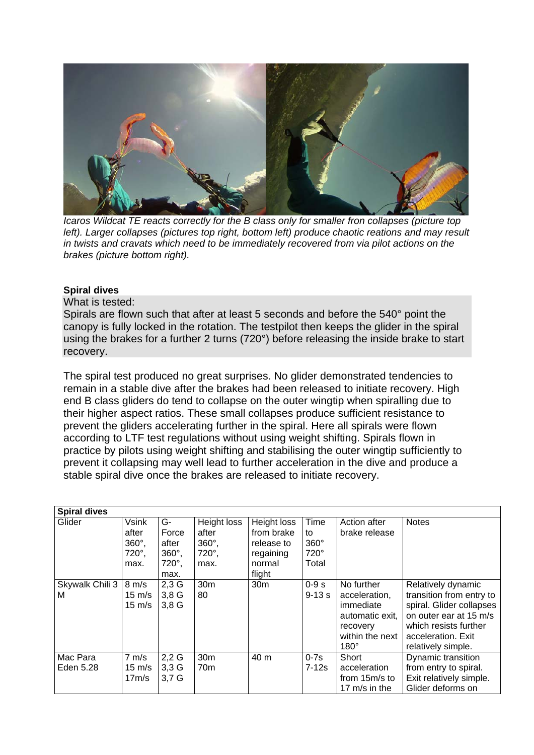

*Icaros Wildcat TE reacts correctly for the B class only for smaller fron collapses (picture top left). Larger collapses (pictures top right, bottom left) produce chaotic reations and may result in twists and cravats which need to be immediately recovered from via pilot actions on the brakes (picture bottom right).* 

#### **Spiral dives**

What is tested:

Spirals are flown such that after at least 5 seconds and before the 540° point the canopy is fully locked in the rotation. The testpilot then keeps the glider in the spiral using the brakes for a further 2 turns (720°) before releasing the inside brake to start recovery.

The spiral test produced no great surprises. No glider demonstrated tendencies to remain in a stable dive after the brakes had been released to initiate recovery. High end B class gliders do tend to collapse on the outer wingtip when spiralling due to their higher aspect ratios. These small collapses produce sufficient resistance to prevent the gliders accelerating further in the spiral. Here all spirals were flown according to LTF test regulations without using weight shifting. Spirals flown in practice by pilots using weight shifting and stabilising the outer wingtip sufficiently to prevent it collapsing may well lead to further acceleration in the dive and produce a stable spiral dive once the brakes are released to initiate recovery.

| <b>Spiral dives</b>   |                                                          |                                                                |                                                                |                                                                          |                                            |                                                                                                           |                                                                                                                                                                           |
|-----------------------|----------------------------------------------------------|----------------------------------------------------------------|----------------------------------------------------------------|--------------------------------------------------------------------------|--------------------------------------------|-----------------------------------------------------------------------------------------------------------|---------------------------------------------------------------------------------------------------------------------------------------------------------------------------|
| Glider                | Vsink<br>after<br>$360^\circ$ ,<br>$720^\circ$ ,<br>max. | G-<br>Force<br>after<br>$360^\circ$ ,<br>$720^\circ$ ,<br>max. | Height loss<br>after<br>$360^\circ$ ,<br>$720^\circ$ ,<br>max. | Height loss<br>from brake<br>release to<br>regaining<br>normal<br>flight | Time<br>to<br>$360^\circ$<br>720°<br>Total | Action after<br>brake release                                                                             | <b>Notes</b>                                                                                                                                                              |
| Skywalk Chili 3<br>м  | $8 \text{ m/s}$<br>$15 \text{ m/s}$<br>$15 \text{ m/s}$  | $2,3$ G<br>$3,8$ G<br>3,8G                                     | 30 <sub>m</sub><br>80                                          | 30 <sub>m</sub>                                                          | $0-9s$<br>$9 - 13s$                        | No further<br>acceleration,<br>immediate<br>automatic exit,<br>recovery<br>within the next<br>$180^\circ$ | Relatively dynamic<br>transition from entry to<br>spiral. Glider collapses<br>on outer ear at 15 m/s<br>which resists further<br>acceleration. Exit<br>relatively simple. |
| Mac Para<br>Eden 5.28 | $7 \text{ m/s}$<br>$15 \text{ m/s}$<br>17m/s             | $2,2$ G<br>$3,3$ G<br>$3,7$ G                                  | 30m<br>70 <sub>m</sub>                                         | 40 m                                                                     | $0-7s$<br>7-12s                            | Short<br>acceleration<br>from 15m/s to<br>17 $m/s$ in the                                                 | Dynamic transition<br>from entry to spiral.<br>Exit relatively simple.<br>Glider deforms on                                                                               |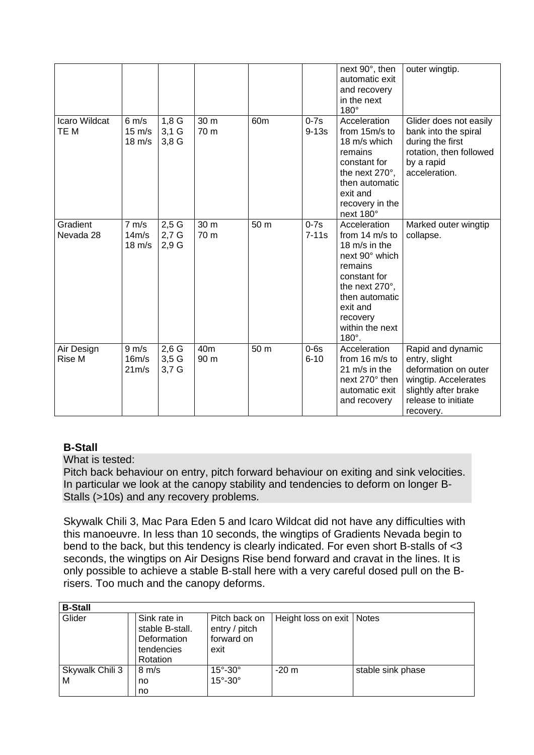|                             |                                                         |                            |                         |                 |                    | next 90°, then<br>automatic exit<br>and recovery<br>in the next<br>$180^\circ$                                                                                                                         | outer wingtip.                                                                                                                                 |
|-----------------------------|---------------------------------------------------------|----------------------------|-------------------------|-----------------|--------------------|--------------------------------------------------------------------------------------------------------------------------------------------------------------------------------------------------------|------------------------------------------------------------------------------------------------------------------------------------------------|
| Icaro Wildcat<br>TE M       | $6 \text{ m/s}$<br>$15 \text{ m/s}$<br>$18 \text{ m/s}$ | 1,8G<br>$3,1$ G<br>3,8G    | 30 m<br>70 m            | 60 <sub>m</sub> | $0-7s$<br>$9-13s$  | Acceleration<br>from 15m/s to<br>18 m/s which<br>remains<br>constant for<br>the next 270°,<br>then automatic<br>exit and<br>recovery in the<br>next 180°                                               | Glider does not easily<br>bank into the spiral<br>during the first<br>rotation, then followed<br>by a rapid<br>acceleration.                   |
| Gradient<br>Nevada 28       | $7 \text{ m/s}$<br>14m/s<br>$18 \text{ m/s}$            | 2,5G<br>$2,7$ G<br>2,9G    | 30 m<br>70 m            | 50 m            | $0-7s$<br>$7-11s$  | Acceleration<br>from $14 \text{ m/s}$ to<br>18 m/s in the<br>next 90° which<br>remains<br>constant for<br>the next 270°,<br>then automatic<br>exit and<br>recovery<br>within the next<br>$180^\circ$ . | Marked outer wingtip<br>collapse.                                                                                                              |
| Air Design<br><b>Rise M</b> | $9 \text{ m/s}$<br>16m/s<br>21 <sub>m</sub> /s          | $2,6$ G<br>3,5G<br>$3,7$ G | 40 <sub>m</sub><br>90 m | 50 m            | $0-6s$<br>$6 - 10$ | Acceleration<br>from 16 m/s to<br>21 m/s in the<br>next 270° then<br>automatic exit<br>and recovery                                                                                                    | Rapid and dynamic<br>entry, slight<br>deformation on outer<br>wingtip. Accelerates<br>slightly after brake<br>release to initiate<br>recovery. |

# **B-Stall**

What is tested:

Pitch back behaviour on entry, pitch forward behaviour on exiting and sink velocities. In particular we look at the canopy stability and tendencies to deform on longer B-Stalls (>10s) and any recovery problems.

Skywalk Chili 3, Mac Para Eden 5 and Icaro Wildcat did not have any difficulties with this manoeuvre. In less than 10 seconds, the wingtips of Gradients Nevada begin to bend to the back, but this tendency is clearly indicated. For even short B-stalls of <3 seconds, the wingtips on Air Designs Rise bend forward and cravat in the lines. It is only possible to achieve a stable B-stall here with a very careful dosed pull on the Brisers. Too much and the canopy deforms.

| <b>B-Stall</b>       |                                                                          |                                                      |                             |                   |  |  |  |  |  |  |
|----------------------|--------------------------------------------------------------------------|------------------------------------------------------|-----------------------------|-------------------|--|--|--|--|--|--|
| Glider               | Sink rate in<br>stable B-stall.<br>Deformation<br>tendencies<br>Rotation | Pitch back on<br>entry / pitch<br>forward on<br>exit | Height loss on exit   Notes |                   |  |  |  |  |  |  |
| Skywalk Chili 3<br>м | $8 \text{ m/s}$<br>no<br>no                                              | $15^\circ - 30^\circ$<br>$15^\circ - 30^\circ$       | $-20m$                      | stable sink phase |  |  |  |  |  |  |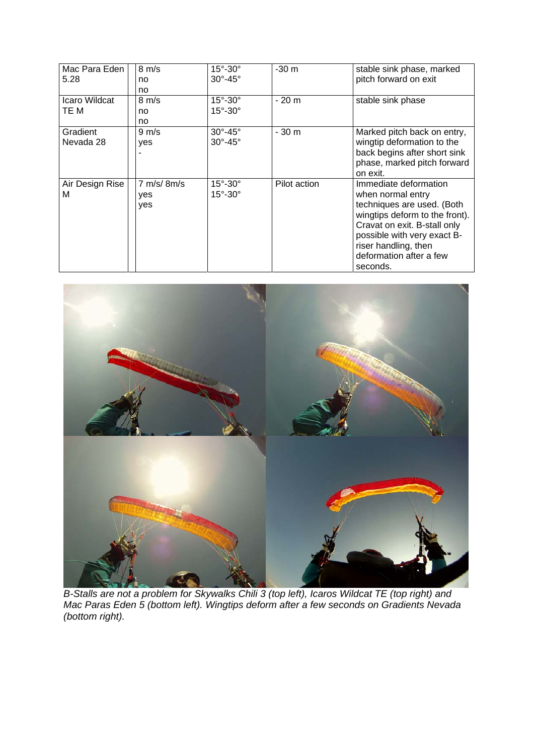| Mac Para Eden<br>5.28 | $8 \text{ m/s}$<br>no.<br>no       | $15^{\circ}$ -30 $^{\circ}$<br>$30^\circ - 45^\circ$       | $-30m$       | stable sink phase, marked<br>pitch forward on exit                                                                                                                                                                                       |
|-----------------------|------------------------------------|------------------------------------------------------------|--------------|------------------------------------------------------------------------------------------------------------------------------------------------------------------------------------------------------------------------------------------|
| Icaro Wildcat<br>TE M | $8 \text{ m/s}$<br>no<br>no.       | $15^\circ - 30^\circ$<br>$15^\circ - 30^\circ$             | $-20m$       | stable sink phase                                                                                                                                                                                                                        |
| Gradient<br>Nevada 28 | $9 \text{ m/s}$<br>yes             | $30^\circ - 45^\circ$<br>$30^\circ - 45^\circ$             | $-30m$       | Marked pitch back on entry,<br>wingtip deformation to the<br>back begins after short sink<br>phase, marked pitch forward<br>on exit.                                                                                                     |
| Air Design Rise<br>М  | $7 \text{ m/s}$ 8m/s<br>yes<br>yes | $15^{\circ}$ -30 $^{\circ}$<br>$15^{\circ}$ -30 $^{\circ}$ | Pilot action | Immediate deformation<br>when normal entry<br>techniques are used. (Both<br>wingtips deform to the front).<br>Cravat on exit. B-stall only<br>possible with very exact B-<br>riser handling, then<br>deformation after a few<br>seconds. |



*B-Stalls are not a problem for Skywalks Chili 3 (top left), Icaros Wildcat TE (top right) and Mac Paras Eden 5 (bottom left). Wingtips deform after a few seconds on Gradients Nevada (bottom right).*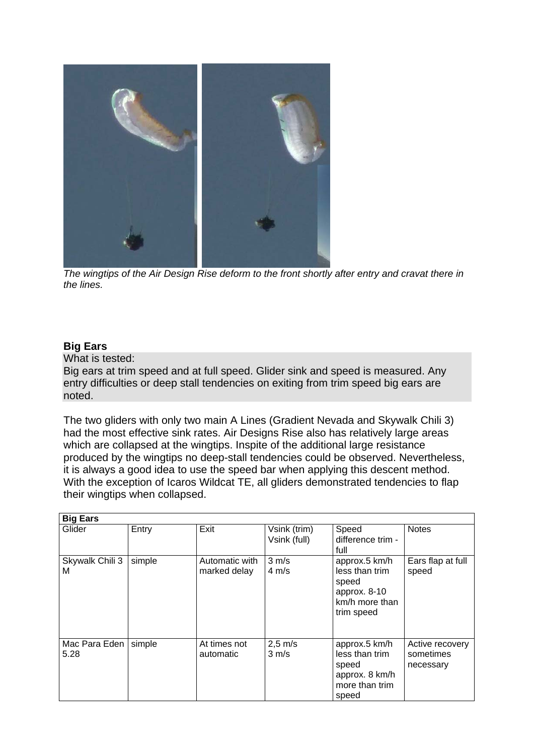

 *The wingtips of the Air Design Rise deform to the front shortly after entry and cravat there in the lines.* 

## **Big Ears**

What is tested:

Big ears at trim speed and at full speed. Glider sink and speed is measured. Any entry difficulties or deep stall tendencies on exiting from trim speed big ears are noted.

The two gliders with only two main A Lines (Gradient Nevada and Skywalk Chili 3) had the most effective sink rates. Air Designs Rise also has relatively large areas which are collapsed at the wingtips. Inspite of the additional large resistance produced by the wingtips no deep-stall tendencies could be observed. Nevertheless, it is always a good idea to use the speed bar when applying this descent method. With the exception of Icaros Wildcat TE, all gliders demonstrated tendencies to flap their wingtips when collapsed.

| <b>Big Ears</b>       |        |                                |                                      |                                                                                          |                                           |  |  |  |
|-----------------------|--------|--------------------------------|--------------------------------------|------------------------------------------------------------------------------------------|-------------------------------------------|--|--|--|
| Glider                | Entry  | Exit                           | Vsink (trim)<br>Vsink (full)         | Speed<br>difference trim -<br>full                                                       | <b>Notes</b>                              |  |  |  |
| Skywalk Chili 3<br>М  | simple | Automatic with<br>marked delay | $3 \, \text{m/s}$<br>$4 \text{ m/s}$ | approx.5 km/h<br>less than trim<br>speed<br>approx. 8-10<br>km/h more than<br>trim speed | Ears flap at full<br>speed                |  |  |  |
| Mac Para Eden<br>5.28 | simple | At times not<br>automatic      | $2,5 \text{ m/s}$<br>$3 \text{ m/s}$ | approx.5 km/h<br>less than trim<br>speed<br>approx. 8 km/h<br>more than trim<br>speed    | Active recovery<br>sometimes<br>necessary |  |  |  |